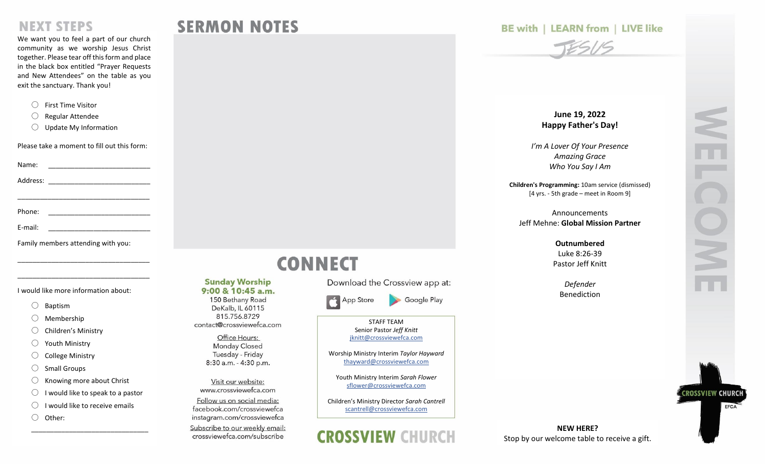### **NEXT STEPS**

We want you to feel a part of our church community as we worship Jesus Christ together. Please tear off this form and place in the black box entitled "Prayer Requests and New Attendees" on the table as you exit the sanctuary. Thank you!

- 〇 First Time Visitor
- 〇 Regular Attendee
- 〇 Update My Information

Please take a moment to fill out this form:

Name:  $\blacksquare$ 

Address: \_\_\_\_\_\_\_\_\_\_\_\_\_\_\_\_\_\_\_\_\_\_\_\_\_\_\_

\_\_\_\_\_\_\_\_\_\_\_\_\_\_\_\_\_\_\_\_\_\_\_\_\_\_\_\_\_\_\_\_\_\_\_

Phone: \_\_\_\_\_\_\_\_\_\_\_\_\_\_\_\_\_\_\_\_\_\_\_\_\_\_\_

E-mail:

Family members attending with you:

\_\_\_\_\_\_\_\_\_\_\_\_\_\_\_\_\_\_\_\_\_\_\_\_\_\_\_\_\_\_\_\_\_\_\_

\_\_\_\_\_\_\_\_\_\_\_\_\_\_\_\_\_\_\_\_\_\_\_\_\_\_\_\_\_\_\_\_\_\_\_

I would like more information about:

- 〇 Baptism
- 〇 Membership
- 〇 Children's Ministry
- 〇 Youth Ministry
- 〇 College Ministry
- 〇 Small Groups
- $\bigcirc$  Knowing more about Christ
- $\bigcirc$  I would like to speak to a pastor

\_\_\_\_\_\_\_\_\_\_\_\_\_\_\_\_\_\_\_\_\_\_\_\_\_\_\_\_\_\_\_

- $\bigcirc$  I would like to receive emails
- 〇 Other:

# **CONNECT**

**SERMON NOTES** 

**Sunday Worship** 

9:00 & 10:45 a.m.

150 Bethany Road

DeKalb, IL 60115 815.756.8729 contact@crossviewefca.com Office Hours: **Monday Closed** Tuesday - Friday 8:30 a.m. - 4:30 p.m.

Visit our website: www.crossviewefca.com

Follow us on social media:

facebook.com/crossviewefca instagram.com/crossviewefca Subscribe to our weekly email:

crossviewefca.com/subscribe

Download the Crossview app at:

App Store

STAFF TEAM Senior Pastor *Jeff Knitt* [jknitt@crossviewefca.com](mailto:jknitt@crossviewefca.com)

Google Play

Worship Ministry Interim *Taylor Hayward* [thayward@crossviewefca.com](mailto:svolz@crossviewefca.com)

Youth Ministry Interim *Sarah Flower* [sflower@crossviewefca.com](mailto:sflower@crossviewefca.com)

Children's Ministry Director *Sarah Cantrell* [scantrell@crossviewefca.com](mailto:scantrell@crossviewefca.com)

## **CROSSVIEW CHURCH**

#### **BE with | LEARN from | LIVE like**

# TESIS

**June 1 9, 2022 Happy Father's Day!**

*I'm A Lover Of Your Presence Amazing Grace Who You Say I Am*

**Children's Programming:** 10am service (dismissed ) [4 yrs. - 5th grade – meet in Room 9]

Announcements Jeff Mehne: **Global Mission Partner**

> **Outnumbered** Luke 8:26 -39 Pastor Jeff Knitt

> > *Defender* Benediction

**NEW HERE?** Stop by our welcome table to receive a gift. **CROSSVIEW CHURC** EFCA